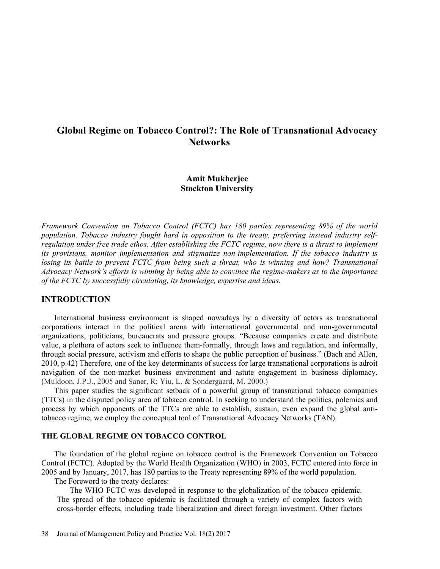# Global Regime on Tobacco Control?: The Role of Transnational Advocacy **Networks**

# Amit Mukherjee Stockton University

Framework Convention on Tobacco Control (FCTC) has 180 parties representing 89% of the world population. Tobacco industry fought hard in opposition to the treaty, preferring instead industry selfregulation under free trade ethos. After establishing the FCTC regime, now there is a thrust to implement its provisions, monitor implementation and stigmatize non-implementation. If the tobacco industry is losing its battle to prevent FCTC from being such a threat, who is winning and how? Transnational Advocacy Network's efforts is winning by being able to convince the regime-makers as to the importance of the FCTC by successfully circulating, its knowledge, expertise and ideas.

# INTRODUCTION

International business environment is shaped nowadays by a diversity of actors as transnational corporations interact in the political arena with international governmental and non-governmental organizations, politicians, bureaucrats and pressure groups. "Because companies create and distribute value, a plethora of actors seek to influence them-formally, through laws and regulation, and informally, through social pressure, activism and efforts to shape the public perception of business. (Bach and Allen, 2010, p.42) Therefore, one of the key determinants of success for large transnational corporations is adroit navigation of the non-market business environment and astute engagement in business diplomacy. (Muldoon, J.P.J., 2005 and Saner, R; Yiu, L. & Sondergaard, M, 2000.)

This paper studies the significant setback of a powerful group of transnational tobacco companies (TTCs) in the disputed policy area of tobacco control. In seeking to understand the politics, polemics and process by which opponents of the TTCs are able to establish, sustain, even expand the global antitobacco regime, we employ the conceptual tool of Transnational Advocacy Networks (TAN).

# THE GLOBAL REGIME ON TOBACCO CONTROL

The foundation of the global regime on tobacco control is the Framework Convention on Tobacco Control (FCTC). Adopted by the World Health Organization (WHO) in 2003, FCTC entered into force in 2005 and by January, 2017, has 180 parties to the Treaty representing 89% of the world population.

The Foreword to the treaty declares:

The WHO FCTC was developed in response to the globalization of the tobacco epidemic. The spread of the tobacco epidemic is facilitated through a variety of complex factors with cross-border effects, including trade liberalization and direct foreign investment. Other factors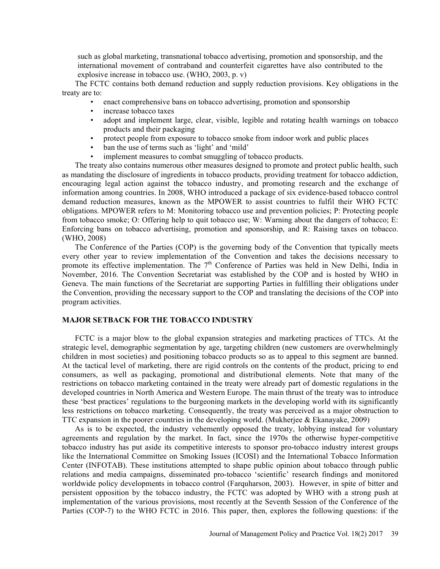such as global marketing, transnational tobacco advertising, promotion and sponsorship, and the international movement of contraband and counterfeit cigarettes have also contributed to the explosive increase in tobacco use. (WHO, 2003, p. v)

The FCTC contains both demand reduction and supply reduction provisions. Key obligations in the treaty are to:<br>
• enact comprehensive bans on tobacco advertising, promotion and sponsorship<br>
• increase tobacco taxes<br>
• adopt and implement large, clear, visible, legible and rotating health warnings on tobacco

- 
- 
- products and their packaging<br>
 protect people from exposure to tobacco smoke from indoor work and public places<br>
 ban the use of terms such as 'light' and 'mild'<br>
 implement measures to combat smuggling of tobacco produ
- 
- 
- 

The treaty also contains numerous other measures designed to promote and protect public health, such as mandating the disclosure of ingredients in tobacco products, providing treatment for tobacco addiction, encouraging legal action against the tobacco industry, and promoting research and the exchange of information among countries. In 2008, WHO introduced a package of six evidence-based tobacco control demand reduction measures, known as the MPOWER to assist countries to fulfil their WHO FCTC obligations. MPOWER refers to M: Monitoring tobacco use and prevention policies; P: Protecting people from tobacco smoke; O: Offering help to quit tobacco use; W: Warning about the dangers of tobacco; E: Enforcing bans on tobacco advertising, promotion and sponsorship, and R: Raising taxes on tobacco. (WHO, 2008)

The Conference of the Parties (COP) is the governing body of the Convention that typically meets every other year to review implementation of the Convention and takes the decisions necessary to promote its effective implementation. The 7<sup>th</sup> Conference of Parties was held in New Delhi, India in November, 2016. The Convention Secretariat was established by the COP and is hosted by WHO in Geneva. The main functions of the Secretariat are supporting Parties in fulfilling their obligations under the Convention, providing the necessary support to the COP and translating the decisions of the COP into program activities.

# MAJOR SETBACK FOR THE TOBACCO INDUSTRY

FCTC is a major blow to the global expansion strategies and marketing practices of TTCs. At the strategic level, demographic segmentation by age, targeting children (new customers are overwhelmingly children in most societies) and positioning tobacco products so as to appeal to this segment are banned. At the tactical level of marketing, there are rigid controls on the contents of the product, pricing to end consumers, as well as packaging, promotional and distributional elements. Note that many of the restrictions on tobacco marketing contained in the treaty were already part of domestic regulations in the developed countries in North America and Western Europe. The main thrust of the treaty was to introduce these 'best practices' regulations to the burgeoning markets in the developing world with its significantly less restrictions on tobacco marketing. Consequently, the treaty was perceived as a major obstruction to TTC expansion in the poorer countries in the developing world. (Mukherjee & Ekanayake, 2009)

As is to be expected, the industry vehemently opposed the treaty, lobbying instead for voluntary agreements and regulation by the market. In fact, since the 1970s the otherwise hyper-competitive tobacco industry has put aside its competitive interests to sponsor pro-tobacco industry interest groups like the International Committee on Smoking Issues (ICOSI) and the International Tobacco Information Center (INFOTAB). These institutions attempted to shape public opinion about tobacco through public relations and media campaigns, disseminated pro-tobacco 'scientific' research findings and monitored worldwide policy developments in tobacco control (Farquharson, 2003). However, in spite of bitter and persistent opposition by the tobacco industry, the FCTC was adopted by WHO with a strong push at implementation of the various provisions, most recently at the Seventh Session of the Conference of the Parties (COP-7) to the WHO FCTC in 2016. This paper, then, explores the following questions: if the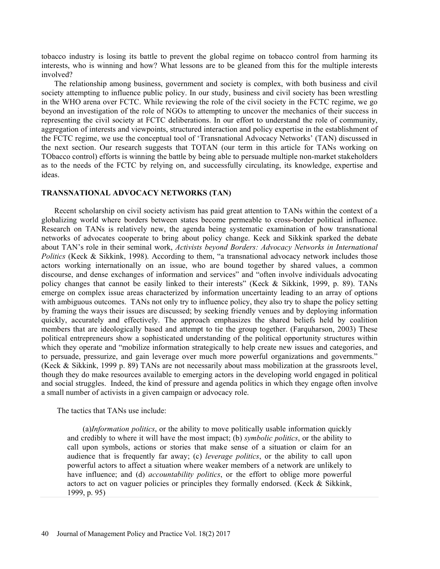tobacco industry is losing its battle to prevent the global regime on tobacco control from harming its interests, who is winning and how? What lessons are to be gleaned from this for the multiple interests involved?

The relationship among business, government and society is complex, with both business and civil society attempting to influence public policy. In our study, business and civil society has been wrestling in the WHO arena over FCTC. While reviewing the role of the civil society in the FCTC regime, we go beyond an investigation of the role of NGOs to attempting to uncover the mechanics of their success in representing the civil society at FCTC deliberations. In our effort to understand the role of community, aggregation of interests and viewpoints, structured interaction and policy expertise in the establishment of the FCTC regime, we use the conceptual tool of 'Transnational Advocacy Networks' (TAN) discussed in the next section. Our research suggests that TOTAN (our term in this article for TANs working on TObacco control) efforts is winning the battle by being able to persuade multiple non-market stakeholders as to the needs of the FCTC by relying on, and successfully circulating, its knowledge, expertise and ideas.

#### TRANSNATIONAL ADVOCACY NETWORKS (TAN)

Recent scholarship on civil society activism has paid great attention to TANs within the context of a globalizing world where borders between states become permeable to cross-border political influence. Research on TANs is relatively new, the agenda being systematic examination of how transnational networks of advocates cooperate to bring about policy change. Keck and Sikkink sparked the debate about TAN's role in their seminal work, Activists beyond Borders: Advocacy Networks in International Politics (Keck & Sikkink, 1998). According to them, "a transnational advocacy network includes those actors working internationally on an issue, who are bound together by shared values, a common discourse, and dense exchanges of information and services" and "often involve individuals advocating policy changes that cannot be easily linked to their interests" (Keck & Sikkink, 1999, p. 89). TANs emerge on complex issue areas characterized by information uncertainty leading to an array of options with ambiguous outcomes. TANs not only try to influence policy, they also try to shape the policy setting by framing the ways their issues are discussed; by seeking friendly venues and by deploying information quickly, accurately and effectively. The approach emphasizes the shared beliefs held by coalition members that are ideologically based and attempt to tie the group together. (Farquharson, 2003) These political entrepreneurs show a sophisticated understanding of the political opportunity structures within which they operate and "mobilize information strategically to help create new issues and categories, and to persuade, pressurize, and gain leverage over much more powerful organizations and governments. (Keck & Sikkink, 1999 p. 89) TANs are not necessarily about mass mobilization at the grassroots level, though they do make resources available to emerging actors in the developing world engaged in political and social struggles. Indeed, the kind of pressure and agenda politics in which they engage often involve a small number of activists in a given campaign or advocacy role.

The tactics that TANs use include:

(a)Information politics, or the ability to move politically usable information quickly and credibly to where it will have the most impact; (b) *symbolic politics*, or the ability to call upon symbols, actions or stories that make sense of a situation or claim for an audience that is frequently far away; (c) *leverage politics*, or the ability to call upon powerful actors to affect a situation where weaker members of a network are unlikely to have influence; and (d) *accountability politics*, or the effort to oblige more powerful actors to act on vaguer policies or principles they formally endorsed. (Keck & Sikkink, 1999, p. 95)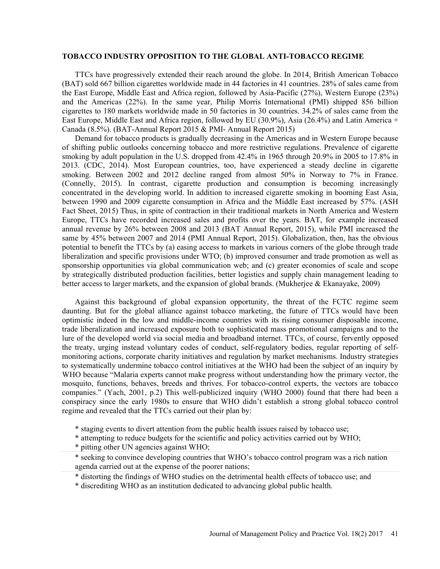#### TOBACCO INDUSTRY OPPOSITION TO THE GLOBAL ANTI-TOBACCO REGIME

TTCs have progressively extended their reach around the globe. In 2014, British American Tobacco (BAT) sold 667 billion cigarettes worldwide made in 44 factories in 41 countries. 28% of sales came from the East Europe, Middle East and Africa region, followed by Asia-Pacific (27%), Western Europe (23%) and the Americas (22%). In the same year, Philip Morris International (PMI) shipped 856 billion cigarettes to 180 markets worldwide made in 50 factories in 30 countries. 34.2% of sales came from the East Europe, Middle East and Africa region, followed by EU (30.9%), Asia (26.4%) and Latin America + Canada (8.5%). (BAT-Annual Report 2015 & PMI- Annual Report 2015)

Demand for tobacco products is gradually decreasing in the Americas and in Western Europe because of shifting public outlooks concerning tobacco and more restrictive regulations. Prevalence of cigarette smoking by adult population in the U.S. dropped from 42.4% in 1965 through 20.9% in 2005 to 17.8% in 2013. (CDC, 2014). Most European countries, too, have experienced a steady decline in cigarette smoking. Between 2002 and 2012 decline ranged from almost 50% in Norway to 7% in France. (Connelly, 2015). In contrast, cigarette production and consumption is becoming increasingly concentrated in the developing world. In addition to increased cigarette smoking in booming East Asia, between 1990 and 2009 cigarette consumption in Africa and the Middle East increased by 57%. (ASH Fact Sheet, 2015) Thus, in spite of contraction in their traditional markets in North America and Western Europe, TTCs have recorded increased sales and profits over the years. BAT, for example increased annual revenue by 26% between 2008 and 2013 (BAT Annual Report, 2015), while PMI increased the same by 45% between 2007 and 2014 (PMI Annual Report, 2015). Globalization, then, has the obvious potential to benefit the TTCs by (a) easing access to markets in various corners of the globe through trade liberalization and specific provisions under WTO; (b) improved consumer and trade promotion as well as sponsorship opportunities via global communication web; and (c) greater economies of scale and scope by strategically distributed production facilities, better logistics and supply chain management leading to better access to larger markets, and the expansion of global brands. (Mukherjee & Ekanayake, 2009)

Against this background of global expansion opportunity, the threat of the FCTC regime seem daunting. But for the global alliance against tobacco marketing, the future of TTCs would have been optimistic indeed in the low and middle-income countries with its rising consumer disposable income, trade liberalization and increased exposure both to sophisticated mass promotional campaigns and to the lure of the developed world via social media and broadband internet. TTCs, of course, fervently opposed the treaty, urging instead voluntary codes of conduct, self-regulatory bodies, regular reporting of selfmonitoring actions, corporate charity initiatives and regulation by market mechanisms. Industry strategies to systematically undermine tobacco control initiatives at the WHO had been the subject of an inquiry by WHO because "Malaria experts cannot make progress without understanding how the primary vector, the mosquito, functions, behaves, breeds and thrives. For tobacco-control experts, the vectors are tobacco companies. (Yach, 2001, p.2) This well-publicized inquiry (WHO 2000) found that there had been a conspiracy since the early 1980s to ensure that WHO didn't establish a strong global tobacco control regime and revealed that the TTCs carried out their plan by:

- \* staging events to divert attention from the public health issues raised by tobacco use;
- \* attempting to reduce budgets for the scientific and policy activities carried out by WHO;
- \* pitting other UN agencies against WHO;
- \* seeking to convince developing countries that WHO's tobacco control program was a rich nation agenda carried out at the expense of the poorer nations;
- \* distorting the findings of WHO studies on the detrimental health effects of tobacco use; and
- \* discrediting WHO as an institution dedicated to advancing global public health.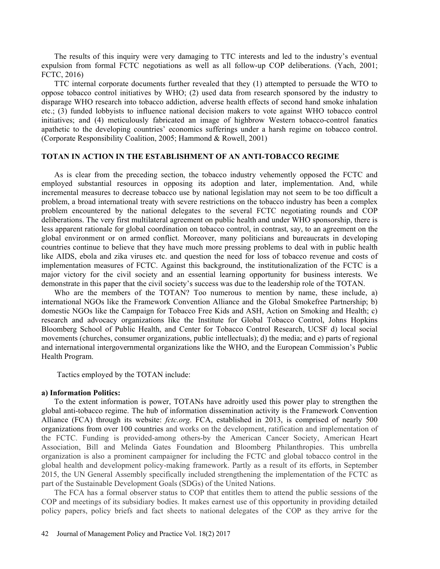The results of this inquiry were very damaging to TTC interests and led to the industry's eventual expulsion from formal FCTC negotiations as well as all follow-up COP deliberations. (Yach, 2001; FCTC, 2016)

TTC internal corporate documents further revealed that they (1) attempted to persuade the WTO to oppose tobacco control initiatives by WHO; (2) used data from research sponsored by the industry to disparage WHO research into tobacco addiction, adverse health effects of second hand smoke inhalation etc.; (3) funded lobbyists to influence national decision makers to vote against WHO tobacco control initiatives; and (4) meticulously fabricated an image of highbrow Western tobacco-control fanatics apathetic to the developing countries' economics sufferings under a harsh regime on tobacco control. (Corporate Responsibility Coalition, 2005; Hammond & Rowell, 2001)

#### TOTAN IN ACTION IN THE ESTABLISHMENT OF AN ANTI-TOBACCO REGIME

As is clear from the preceding section, the tobacco industry vehemently opposed the FCTC and employed substantial resources in opposing its adoption and later, implementation. And, while incremental measures to decrease tobacco use by national legislation may not seem to be too difficult a problem, a broad international treaty with severe restrictions on the tobacco industry has been a complex problem encountered by the national delegates to the several FCTC negotiating rounds and COP deliberations. The very first multilateral agreement on public health and under WHO sponsorship, there is less apparent rationale for global coordination on tobacco control, in contrast, say, to an agreement on the global environment or on armed conflict. Moreover, many politicians and bureaucrats in developing countries continue to believe that they have much more pressing problems to deal with in public health like AIDS, ebola and zika viruses etc. and question the need for loss of tobacco revenue and costs of implementation measures of FCTC. Against this background, the institutionalization of the FCTC is a major victory for the civil society and an essential learning opportunity for business interests. We demonstrate in this paper that the civil society's success was due to the leadership role of the TOTAN.

Who are the members of the TOTAN? Too numerous to mention by name, these include, a) international NGOs like the Framework Convention Alliance and the Global Smokefree Partnership; b) domestic NGOs like the Campaign for Tobacco Free Kids and ASH, Action on Smoking and Health; c) research and advocacy organizations like the Institute for Global Tobacco Control, Johns Hopkins Bloomberg School of Public Health, and Center for Tobacco Control Research, UCSF d) local social movements (churches, consumer organizations, public intellectuals); d) the media; and e) parts of regional and international intergovernmental organizations like the WHO, and the European Commission's Public Health Program.

Tactics employed by the TOTAN include:

a) Information Politics: To the extent information is power, TOTANs have adroitly used this power play to strengthen the global anti-tobacco regime. The hub of information dissemination activity is the Framework Convention Alliance (FCA) through its website: *fctc.org*. FCA, established in 2013, is comprised of nearly 500 organizations from over 100 countries and works on the development, ratification and implementation of the FCTC. Funding is provided-among others-by the American Cancer Society, American Heart Association, Bill and Melinda Gates Foundation and Bloomberg Philanthropies. This umbrella organization is also a prominent campaigner for including the FCTC and global tobacco control in the global health and development policy-making framework. Partly as a result of its efforts, in September 2015, the UN General Assembly specifically included strengthening the implementation of the FCTC as part of the Sustainable Development Goals (SDGs) of the United Nations.

The FCA has a formal observer status to COP that entitles them to attend the public sessions of the COP and meetings of its subsidiary bodies. It makes earnest use of this opportunity in providing detailed policy papers, policy briefs and fact sheets to national delegates of the COP as they arrive for the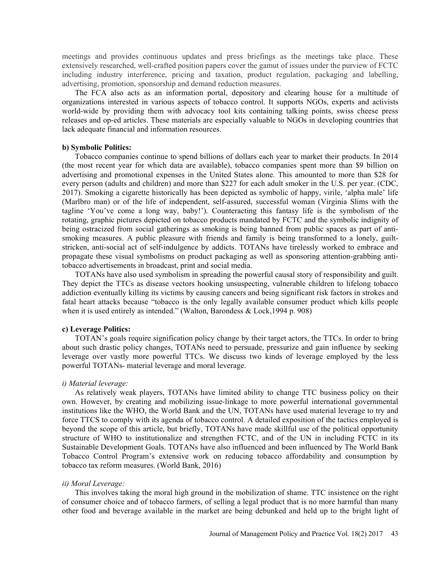meetings and provides continuous updates and press briefings as the meetings take place. These extensively researched, well-crafted position papers cover the gamut of issues under the purview of FCTC including industry interference, pricing and taxation, product regulation, packaging and labelling, advertising, promotion, sponsorship and demand reduction measures.

The FCA also acts as an information portal, depository and clearing house for a multitude of organizations interested in various aspects of tobacco control. It supports NGOs, experts and activists world-wide by providing them with advocacy tool kits containing talking points, swiss cheese press releases and op-ed articles. These materials are especially valuable to NGOs in developing countries that lack adequate financial and information resources.

#### b) Symbolic Politics:

Tobacco companies continue to spend billions of dollars each year to market their products. In 2014 (the most recent year for which data are available), tobacco companies spent more than \$9 billion on advertising and promotional expenses in the United States alone. This amounted to more than \$28 for every person (adults and children) and more than \$227 for each adult smoker in the U.S. per year. (CDC, 2017). Smoking a cigarette historically has been depicted as symbolic of happy, virile, 'alpha male' life (Marlbro man) or of the life of independent, self-assured, successful woman (Virginia Slims with the tagline 'You've come a long way, baby!'). Counteracting this fantasy life is the symbolism of the rotating, graphic pictures depicted on tobacco products mandated by FCTC and the symbolic indignity of being ostracized from social gatherings as smoking is being banned from public spaces as part of antismoking measures. A public pleasure with friends and family is being transformed to a lonely, guiltstricken, anti-social act of self-indulgence by addicts. TOTANs have tirelessly worked to embrace and propagate these visual symbolisms on product packaging as well as sponsoring attention-grabbing antitobacco advertisements in broadcast, print and social media.

TOTANs have also used symbolism in spreading the powerful causal story of responsibility and guilt. They depict the TTCs as disease vectors hooking unsuspecting, vulnerable children to lifelong tobacco addiction eventually killing its victims by causing cancers and being significant risk factors in strokes and fatal heart attacks because "tobacco is the only legally available consumer product which kills people when it is used entirely as intended." (Walton, Barondess & Lock, 1994 p. 908)

### c) Leverage Politics:

TOTAN's goals require signification policy change by their target actors, the TTCs. In order to bring about such drastic policy changes, TOTANs need to persuade, pressurize and gain influence by seeking leverage over vastly more powerful TTCs. We discuss two kinds of leverage employed by the less powerful TOTANs- material leverage and moral leverage.

### i) Material leverage:

As relatively weak players, TOTANs have limited ability to change TTC business policy on their own. However, by creating and mobilizing issue-linkage to more powerful international governmental institutions like the WHO, the World Bank and the UN, TOTANs have used material leverage to try and force TTCS to comply with its agenda of tobacco control. A detailed exposition of the tactics employed is beyond the scope of this article, but briefly, TOTANs have made skillful use of the political opportunity structure of WHO to institutionalize and strengthen FCTC, and of the UN in including FCTC in its Sustainable Development Goals. TOTANs have also influenced and been influenced by The World Bank Tobacco Control Program's extensive work on reducing tobacco affordability and consumption by tobacco tax reform measures. (World Bank, 2016)

#### ii) Moral Leverage:

This involves taking the moral high ground in the mobilization of shame. TTC insistence on the right of consumer choice and of tobacco farmers, of selling a legal product that is no more harmful than many other food and beverage available in the market are being debunked and held up to the bright light of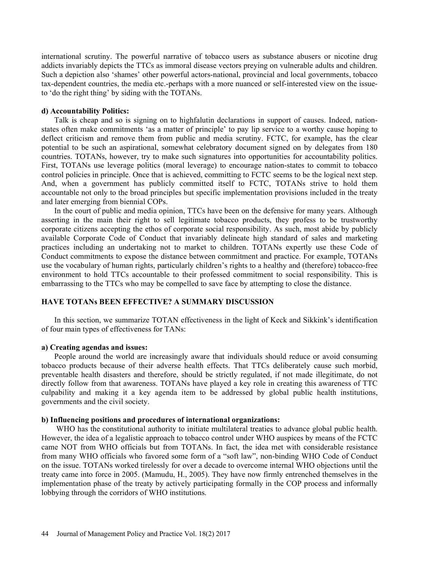international scrutiny. The powerful narrative of tobacco users as substance abusers or nicotine drug addicts invariably depicts the TTCs as immoral disease vectors preying on vulnerable adults and children. Such a depiction also 'shames' other powerful actors-national, provincial and local governments, tobacco tax-dependent countries, the media etc.-perhaps with a more nuanced or self-interested view on the issueto 'do the right thing' by siding with the TOTANs.

#### d) Accountability Politics:

Talk is cheap and so is signing on to highfalutin declarations in support of causes. Indeed, nationstates often make commitments 'as a matter of principle' to pay lip service to a worthy cause hoping to deflect criticism and remove them from public and media scrutiny. FCTC, for example, has the clear potential to be such an aspirational, somewhat celebratory document signed on by delegates from 180 countries. TOTANs, however, try to make such signatures into opportunities for accountability politics. First, TOTANs use leverage politics (moral leverage) to encourage nation-states to commit to tobacco control policies in principle. Once that is achieved, committing to FCTC seems to be the logical next step. And, when a government has publicly committed itself to FCTC, TOTANs strive to hold them accountable not only to the broad principles but specific implementation provisions included in the treaty and later emerging from biennial COPs.

In the court of public and media opinion, TTCs have been on the defensive for many years. Although asserting in the main their right to sell legitimate tobacco products, they profess to be trustworthy corporate citizens accepting the ethos of corporate social responsibility. As such, most abide by publicly available Corporate Code of Conduct that invariably delineate high standard of sales and marketing practices including an undertaking not to market to children. TOTANs expertly use these Code of Conduct commitments to expose the distance between commitment and practice. For example, TOTANs use the vocabulary of human rights, particularly children's rights to a healthy and (therefore) tobacco-free environment to hold TTCs accountable to their professed commitment to social responsibility. This is embarrassing to the TTCs who may be compelled to save face by attempting to close the distance.

# HAVE TOTANs BEEN EFFECTIVE? A SUMMARY DISCUSSION

In this section, we summarize TOTAN effectiveness in the light of Keck and Sikkink's identification of four main types of effectiveness for TANs:

a) Creating agendas and issues: People around the world are increasingly aware that individuals should reduce or avoid consuming tobacco products because of their adverse health effects. That TTCs deliberately cause such morbid, preventable health disasters and therefore, should be strictly regulated, if not made illegitimate, do not directly follow from that awareness. TOTANs have played a key role in creating this awareness of TTC culpability and making it a key agenda item to be addressed by global public health institutions, governments and the civil society.

#### b) Influencing positions and procedures of international organizations:

WHO has the constitutional authority to initiate multilateral treaties to advance global public health. However, the idea of a legalistic approach to tobacco control under WHO auspices by means of the FCTC came NOT from WHO officials but from TOTANs. In fact, the idea met with considerable resistance from many WHO officials who favored some form of a "soft law", non-binding WHO Code of Conduct on the issue. TOTANs worked tirelessly for over a decade to overcome internal WHO objections until the treaty came into force in 2005. (Mamudu, H., 2005). They have now firmly entrenched themselves in the implementation phase of the treaty by actively participating formally in the COP process and informally lobbying through the corridors of WHO institutions.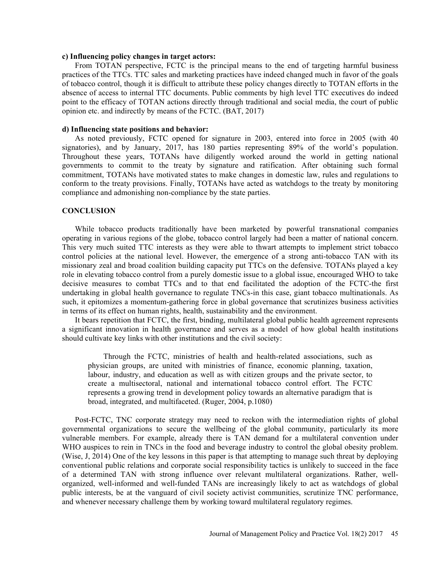#### c) Influencing policy changes in target actors:

From TOTAN perspective, FCTC is the principal means to the end of targeting harmful business practices of the TTCs. TTC sales and marketing practices have indeed changed much in favor of the goals of tobacco control, though it is difficult to attribute these policy changes directly to TOTAN efforts in the absence of access to internal TTC documents. Public comments by high level TTC executives do indeed point to the efficacy of TOTAN actions directly through traditional and social media, the court of public opinion etc. and indirectly by means of the FCTC. (BAT, 2017)

#### d) Influencing state positions and behavior:

As noted previously, FCTC opened for signature in 2003, entered into force in 2005 (with 40 signatories), and by January,  $2017$ , has 180 parties representing 89% of the world's population. Throughout these years, TOTANs have diligently worked around the world in getting national governments to commit to the treaty by signature and ratification. After obtaining such formal commitment, TOTANs have motivated states to make changes in domestic law, rules and regulations to conform to the treaty provisions. Finally, TOTANs have acted as watchdogs to the treaty by monitoring compliance and admonishing non-compliance by the state parties.

### **CONCLUSION**

While tobacco products traditionally have been marketed by powerful transnational companies operating in various regions of the globe, tobacco control largely had been a matter of national concern. This very much suited TTC interests as they were able to thwart attempts to implement strict tobacco control policies at the national level. However, the emergence of a strong anti-tobacco TAN with its missionary zeal and broad coalition building capacity put TTCs on the defensive. TOTANs played a key role in elevating tobacco control from a purely domestic issue to a global issue, encouraged WHO to take decisive measures to combat TTCs and to that end facilitated the adoption of the FCTC-the first undertaking in global health governance to regulate TNCs-in this case, giant tobacco multinationals. As such, it epitomizes a momentum-gathering force in global governance that scrutinizes business activities in terms of its effect on human rights, health, sustainability and the environment.

It bears repetition that FCTC, the first, binding, multilateral global public health agreement represents a significant innovation in health governance and serves as a model of how global health institutions should cultivate key links with other institutions and the civil society:

Through the FCTC, ministries of health and health-related associations, such as physician groups, are united with ministries of finance, economic planning, taxation, labour, industry, and education as well as with citizen groups and the private sector, to create a multisectoral, national and international tobacco control effort. The FCTC represents a growing trend in development policy towards an alternative paradigm that is broad, integrated, and multifaceted. (Ruger, 2004, p.1080)

Post-FCTC, TNC corporate strategy may need to reckon with the intermediation rights of global governmental organizations to secure the wellbeing of the global community, particularly its more vulnerable members. For example, already there is TAN demand for a multilateral convention under WHO auspices to rein in TNCs in the food and beverage industry to control the global obesity problem. (Wise, J, 2014) One of the key lessons in this paper is that attempting to manage such threat by deploying conventional public relations and corporate social responsibility tactics is unlikely to succeed in the face of a determined TAN with strong influence over relevant multilateral organizations. Rather, wellorganized, well-informed and well-funded TANs are increasingly likely to act as watchdogs of global public interests, be at the vanguard of civil society activist communities, scrutinize TNC performance, and whenever necessary challenge them by working toward multilateral regulatory regimes.